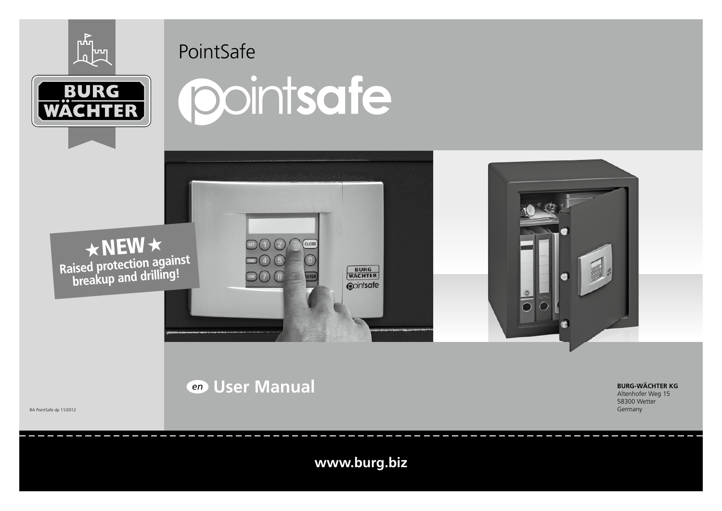



# PointSafe







# *en* **User Manual**

BA PointSafe dp 11/2012

**www.burg.biz**

**BURG**<br>WACHTER **Opintsafe** 

> **BURG-WÄCHTER KG** Altenhofer Weg 15 58300 Wetter Germany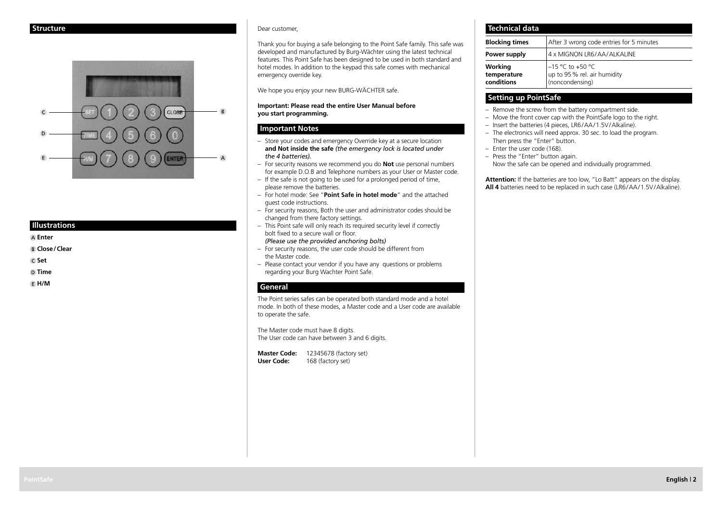

#### **Illustrations**

**Enter**

 **Close/Clear**

 **Set**

 **Time**

 **H/M**

#### Dear customer,

Thank you for buying a safe belonging to the Point Safe family. This safe was developed and manufactured by Burg-Wächter using the latest technical features. This Point Safe has been designed to be used in both standard and hotel modes. In addition to the keypad this safe comes with mechanical emergency override key.

We hope you enjoy your new BURG-WÄCHTER safe.

#### **Important: Please read the entire User Manual before you start programming.**

### **Important Notes**

- Store your codes and emergency Override key at a secure location **and Not inside the safe** *(the emergency lock is located under the 4 batteries).*
- For security reasons we recommend you do **Not** use personal numbers for example D.O.B and Telephone numbers as your User or Master code.
- $-$  If the safe is not going to be used for a prolonged period of time. please remove the batteries.
- For hotel mode: See "**Point Safe in hotel mode**" and the attached guest code instructions.
- For security reasons, Both the user and administrator codes should be changed from there factory settings.
- This Point safe will only reach its required security level if correctly bolt fixed to a secure wall or floor.
	- *(Please use the provided anchoring bolts)*
- For security reasons, the user code should be different from the Master code.
- Please contact your vendor if you have any questions or problems regarding your Burg Wachter Point Safe.

#### **General**

The Point series safes can be operated both standard mode and a hotel mode. In both of these modes, a Master code and a User code are available to operate the safe.

The Master code must have 8 digits. The User code can have between 3 and 6 digits.

**Master Code:** 12345678 (factory set) **User Code:** 168 (factory set)

| <b>Technical data</b>                |                                                                      |
|--------------------------------------|----------------------------------------------------------------------|
| <b>Blocking times</b>                | After 3 wrong code entries for 5 minutes                             |
| Power supply                         | 4 x MIGNON LR6/AA/ALKALINE                                           |
| Working<br>temperature<br>conditions | $-15$ °C to +50 °C<br>up to 95% rel. air humidity<br>(noncondensing) |

# **Setting up PointSafe**

- Remove the screw from the battery compartment side.
- Move the front cover cap with the PointSafe logo to the right.
- Insert the batteries (4 pieces, LR6/AA/1.5V/Alkaline).
- The electronics will need approx. 30 sec. to load the program. Then press the "Enter" button.
- Enter the user code (168).
- Press the "Enter" button again.

Now the safe can be opened and individually programmed.

**Attention:** If the batteries are too low, "Lo Batt" appears on the display. **All 4** batteries need to be replaced in such case (LR6/AA/1.5V/Alkaline).